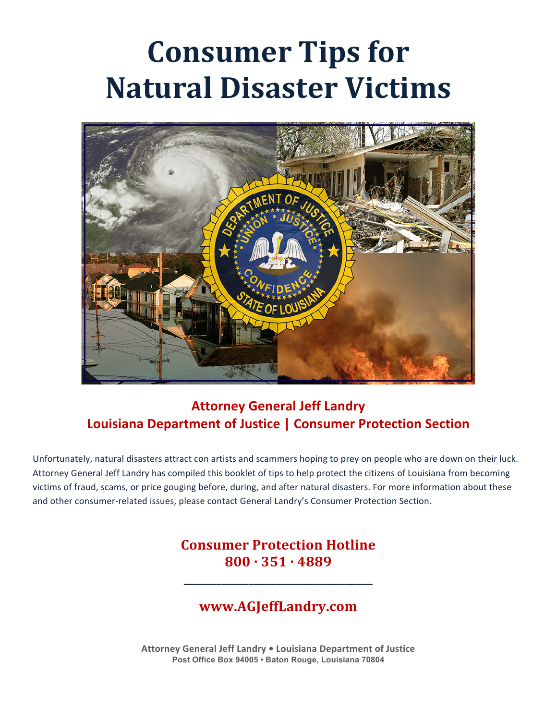# **Consumer Tips for Natural Disaster Victims**



# **Attorney General Jeff Landry Louisiana Department of Justice | Consumer Protection Section**

Unfortunately, natural disasters attract con artists and scammers hoping to prey on people who are down on their luck. Attorney General Jeff Landry has compiled this booklet of tips to help protect the citizens of Louisiana from becoming victims of fraud, scams, or price gouging before, during, and after natural disasters. For more information about these and other consumer-related issues, please contact General Landry's Consumer Protection Section.

## **Consumer Protection Hotline 800 · 351 · 4889**

**\_\_\_\_\_\_\_\_\_\_\_\_\_\_\_\_\_\_\_\_\_\_\_\_\_\_\_\_\_\_\_\_\_\_\_**

## **www.AGJeffLandry.com**

**Attorney General Jeff Landry • Louisiana Department of Justice Post Office Box 94005 • Baton Rouge, Louisiana 70804**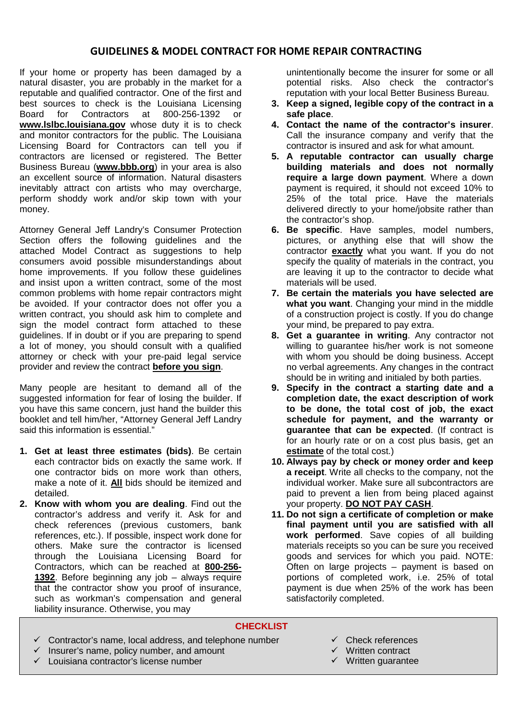### **GUIDELINES & MODEL CONTRACT FOR HOME REPAIR CONTRACTING**

If your home or property has been damaged by a natural disaster, you are probably in the market for a reputable and qualified contractor. One of the first and best sources to check is the Louisiana Licensing Board for Contractors at 800-256-1392 or **www.lslbc.louisiana.gov** whose duty it is to check and monitor contractors for the public. The Louisiana Licensing Board for Contractors can tell you if contractors are licensed or registered. The Better Business Bureau (**www.bbb.org**) in your area is also an excellent source of information. Natural disasters inevitably attract con artists who may overcharge, perform shoddy work and/or skip town with your money.

Attorney General Jeff Landry's Consumer Protection Section offers the following guidelines and the attached Model Contract as suggestions to help consumers avoid possible misunderstandings about home improvements. If you follow these guidelines and insist upon a written contract, some of the most common problems with home repair contractors might be avoided. If your contractor does not offer you a written contract, you should ask him to complete and sign the model contract form attached to these guidelines. If in doubt or if you are preparing to spend a lot of money, you should consult with a qualified attorney or check with your pre-paid legal service provider and review the contract **before you sign**.

Many people are hesitant to demand all of the suggested information for fear of losing the builder. If you have this same concern, just hand the builder this booklet and tell him/her, "Attorney General Jeff Landry said this information is essential."

- **1. Get at least three estimates (bids)**. Be certain each contractor bids on exactly the same work. If one contractor bids on more work than others, make a note of it. **All** bids should be itemized and detailed.
- **2. Know with whom you are dealing**. Find out the contractor's address and verify it. Ask for and check references (previous customers, bank references, etc.). If possible, inspect work done for others. Make sure the contractor is licensed through the Louisiana Licensing Board for Contractors, which can be reached at **800-256- 1392**. Before beginning any job – always require that the contractor show you proof of insurance, such as workman's compensation and general liability insurance. Otherwise, you may

unintentionally become the insurer for some or all potential risks. Also check the contractor's reputation with your local Better Business Bureau.

- **3. Keep a signed, legible copy of the contract in a safe place**.
- **4. Contact the name of the contractor's insurer**. Call the insurance company and verify that the contractor is insured and ask for what amount.
- **5. A reputable contractor can usually charge building materials and does not normally require a large down payment**. Where a down payment is required, it should not exceed 10% to 25% of the total price. Have the materials delivered directly to your home/jobsite rather than the contractor's shop.
- **6. Be specific**. Have samples, model numbers, pictures, or anything else that will show the contractor **exactly** what you want. If you do not specify the quality of materials in the contract, you are leaving it up to the contractor to decide what materials will be used.
- **7. Be certain the materials you have selected are what you want**. Changing your mind in the middle of a construction project is costly. If you do change your mind, be prepared to pay extra.
- **8. Get a guarantee in writing**. Any contractor not willing to guarantee his/her work is not someone with whom you should be doing business. Accept no verbal agreements. Any changes in the contract should be in writing and initialed by both parties.
- **9. Specify in the contract a starting date and a completion date, the exact description of work to be done, the total cost of job, the exact schedule for payment, and the warranty or guarantee that can be expected**. (If contract is for an hourly rate or on a cost plus basis, get an **estimate** of the total cost.)
- **10. Always pay by check or money order and keep a receipt**. Write all checks to the company, not the individual worker. Make sure all subcontractors are paid to prevent a lien from being placed against your property. **DO NOT PAY CASH**.
- **11. Do not sign a certificate of completion or make final payment until you are satisfied with all work performed**. Save copies of all building materials receipts so you can be sure you received goods and services for which you paid. NOTE: Often on large projects – payment is based on portions of completed work, i.e. 25% of total payment is due when 25% of the work has been satisfactorily completed.

#### **CHECKLIST**

- $\checkmark$  Contractor's name, local address, and telephone number
- $\checkmark$  Insurer's name, policy number, and amount
- $\checkmark$  Louisiana contractor's license number
- $\checkmark$  Check references
- $\checkmark$  Written contract
- $\checkmark$  Written guarantee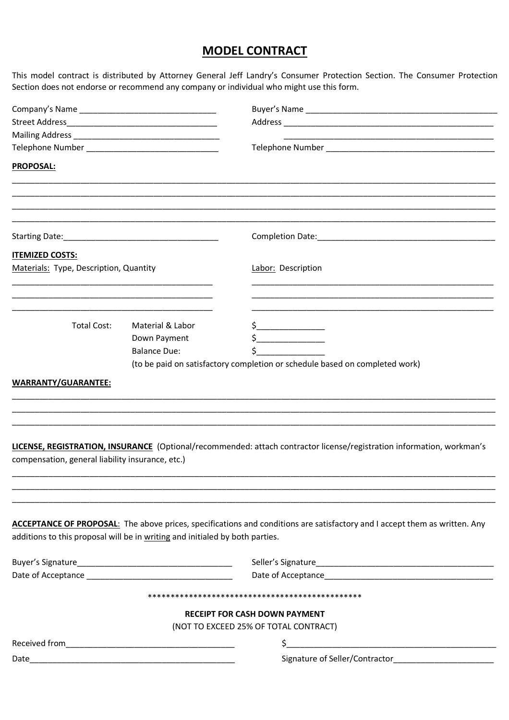## **MODEL CONTRACT**

This model contract is distributed by Attorney General Jeff Landry's Consumer Protection Section. The Consumer Protection Section does not endorse or recommend any company or individual who might use this form.

|                                                                                                                                                       |                     | <u> 1980 - Johann John Stoff, deutscher Stoffen und der Stoffen und der Stoffen und der Stoffen und der Stoffen un</u>                                                                                                                                                                                                                              |
|-------------------------------------------------------------------------------------------------------------------------------------------------------|---------------------|-----------------------------------------------------------------------------------------------------------------------------------------------------------------------------------------------------------------------------------------------------------------------------------------------------------------------------------------------------|
|                                                                                                                                                       |                     |                                                                                                                                                                                                                                                                                                                                                     |
| <b>PROPOSAL:</b>                                                                                                                                      |                     |                                                                                                                                                                                                                                                                                                                                                     |
|                                                                                                                                                       |                     |                                                                                                                                                                                                                                                                                                                                                     |
|                                                                                                                                                       |                     |                                                                                                                                                                                                                                                                                                                                                     |
| <b>ITEMIZED COSTS:</b>                                                                                                                                |                     |                                                                                                                                                                                                                                                                                                                                                     |
| Materials: Type, Description, Quantity                                                                                                                |                     | Labor: Description                                                                                                                                                                                                                                                                                                                                  |
|                                                                                                                                                       |                     |                                                                                                                                                                                                                                                                                                                                                     |
| <b>Total Cost:</b>                                                                                                                                    | Material & Labor    | $\frac{1}{2}$                                                                                                                                                                                                                                                                                                                                       |
|                                                                                                                                                       | Down Payment        | $\begin{picture}(20,10) \put(0,0){\line(1,0){10}} \put(15,0){\line(1,0){10}} \put(15,0){\line(1,0){10}} \put(15,0){\line(1,0){10}} \put(15,0){\line(1,0){10}} \put(15,0){\line(1,0){10}} \put(15,0){\line(1,0){10}} \put(15,0){\line(1,0){10}} \put(15,0){\line(1,0){10}} \put(15,0){\line(1,0){10}} \put(15,0){\line(1,0){10}} \put(15,0){\line(1$ |
|                                                                                                                                                       | <b>Balance Due:</b> |                                                                                                                                                                                                                                                                                                                                                     |
|                                                                                                                                                       |                     | (to be paid on satisfactory completion or schedule based on completed work)                                                                                                                                                                                                                                                                         |
|                                                                                                                                                       |                     |                                                                                                                                                                                                                                                                                                                                                     |
|                                                                                                                                                       |                     |                                                                                                                                                                                                                                                                                                                                                     |
| WARRANTY/GUARANTEE:                                                                                                                                   |                     |                                                                                                                                                                                                                                                                                                                                                     |
|                                                                                                                                                       |                     |                                                                                                                                                                                                                                                                                                                                                     |
|                                                                                                                                                       |                     |                                                                                                                                                                                                                                                                                                                                                     |
|                                                                                                                                                       |                     |                                                                                                                                                                                                                                                                                                                                                     |
|                                                                                                                                                       |                     |                                                                                                                                                                                                                                                                                                                                                     |
|                                                                                                                                                       |                     |                                                                                                                                                                                                                                                                                                                                                     |
|                                                                                                                                                       |                     |                                                                                                                                                                                                                                                                                                                                                     |
|                                                                                                                                                       |                     | LICENSE, REGISTRATION, INSURANCE (Optional/recommended: attach contractor license/registration information, workman's                                                                                                                                                                                                                               |
|                                                                                                                                                       |                     |                                                                                                                                                                                                                                                                                                                                                     |
|                                                                                                                                                       |                     |                                                                                                                                                                                                                                                                                                                                                     |
|                                                                                                                                                       |                     |                                                                                                                                                                                                                                                                                                                                                     |
|                                                                                                                                                       |                     | ACCEPTANCE OF PROPOSAL: The above prices, specifications and conditions are satisfactory and I accept them as written. Any                                                                                                                                                                                                                          |
|                                                                                                                                                       |                     |                                                                                                                                                                                                                                                                                                                                                     |
| compensation, general liability insurance, etc.)<br>additions to this proposal will be in writing and initialed by both parties.<br>Buyer's Signature |                     | Date of Acceptance Management and the contract of the contract of the contract of the contract of the contract of the contract of the contract of the contract of the contract of the contract of the contract of the contract                                                                                                                      |
|                                                                                                                                                       |                     |                                                                                                                                                                                                                                                                                                                                                     |
|                                                                                                                                                       |                     | <b>RECEIPT FOR CASH DOWN PAYMENT</b>                                                                                                                                                                                                                                                                                                                |
|                                                                                                                                                       |                     | (NOT TO EXCEED 25% OF TOTAL CONTRACT)                                                                                                                                                                                                                                                                                                               |
|                                                                                                                                                       |                     |                                                                                                                                                                                                                                                                                                                                                     |
|                                                                                                                                                       |                     | $\frac{1}{2}$<br>Signature of Seller/Contractor_________________________                                                                                                                                                                                                                                                                            |